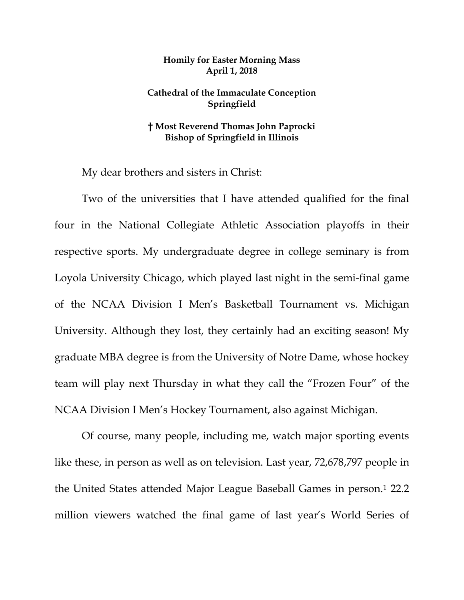## **Homily for Easter Morning Mass April 1, 2018**

## **Cathedral of the Immaculate Conception Springfield**

## **† Most Reverend Thomas John Paprocki Bishop of Springfield in Illinois**

My dear brothers and sisters in Christ:

Two of the universities that I have attended qualified for the final four in the National Collegiate Athletic Association playoffs in their respective sports. My undergraduate degree in college seminary is from Loyola University Chicago, which played last night in the semi-final game of the NCAA Division I Men's Basketball Tournament vs. Michigan University. Although they lost, they certainly had an exciting season! My graduate MBA degree is from the University of Notre Dame, whose hockey team will play next Thursday in what they call the "Frozen Four" of the NCAA Division I Men's Hockey Tournament, also against Michigan.

Of course, many people, including me, watch major sporting events like these, in person as well as on television. Last year, 72,678,797 people in the United States attended Major League Baseball Games in person.[1](#page-7-0) 22.2 million viewers watched the final game of last year's World Series of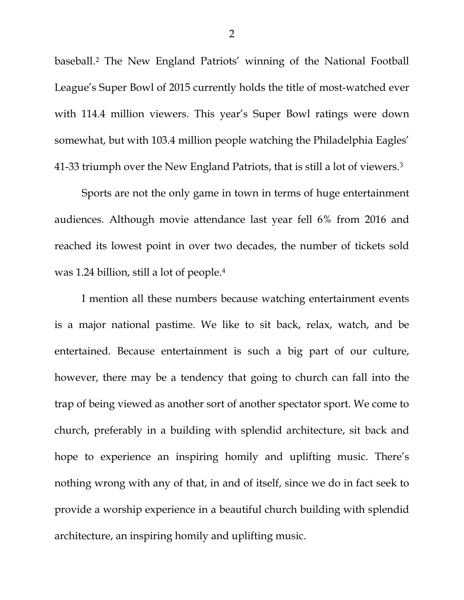baseball.[2](#page-7-1) The New England Patriots' winning of the National Football League's Super Bowl of 2015 currently holds the title of most-watched ever with 114.4 million viewers. This year's Super Bowl ratings were down somewhat, but with 103.4 million people watching the Philadelphia Eagles' 41-33 triumph over the New England Patriots, that is still a lot of viewers.[3](#page-7-2)

Sports are not the only game in town in terms of huge entertainment audiences. Although movie attendance last year fell 6% from 2016 and reached its lowest point in over two decades, the number of tickets sold was 1.24 billion, still a lot of people.[4](#page-7-3)

I mention all these numbers because watching entertainment events is a major national pastime. We like to sit back, relax, watch, and be entertained. Because entertainment is such a big part of our culture, however, there may be a tendency that going to church can fall into the trap of being viewed as another sort of another spectator sport. We come to church, preferably in a building with splendid architecture, sit back and hope to experience an inspiring homily and uplifting music. There's nothing wrong with any of that, in and of itself, since we do in fact seek to provide a worship experience in a beautiful church building with splendid architecture, an inspiring homily and uplifting music.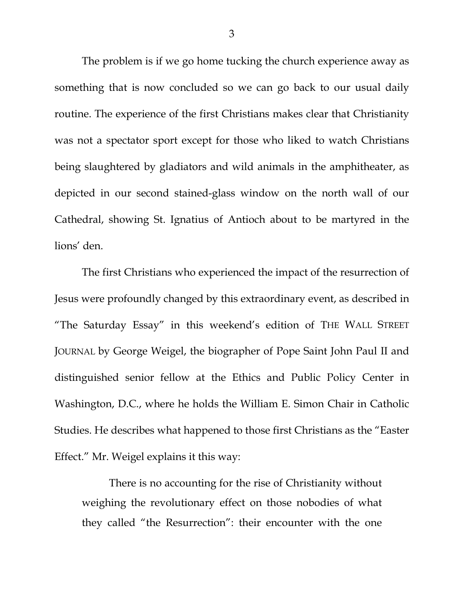The problem is if we go home tucking the church experience away as something that is now concluded so we can go back to our usual daily routine. The experience of the first Christians makes clear that Christianity was not a spectator sport except for those who liked to watch Christians being slaughtered by gladiators and wild animals in the amphitheater, as depicted in our second stained-glass window on the north wall of our Cathedral, showing St. Ignatius of Antioch about to be martyred in the lions' den.

The first Christians who experienced the impact of the resurrection of Jesus were profoundly changed by this extraordinary event, as described in "The Saturday Essay" in this weekend's edition of THE WALL STREET JOURNAL by George Weigel, the biographer of Pope Saint John Paul II and distinguished senior fellow at the Ethics and Public Policy Center in Washington, D.C., where he holds the William E. Simon Chair in Catholic Studies. He describes what happened to those first Christians as the "Easter Effect." Mr. Weigel explains it this way:

There is no accounting for the rise of Christianity without weighing the revolutionary effect on those nobodies of what they called "the Resurrection": their encounter with the one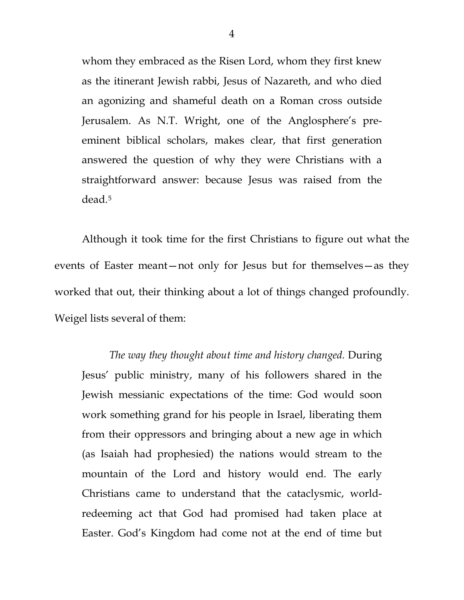whom they embraced as the Risen Lord, whom they first knew as the itinerant Jewish rabbi, Jesus of Nazareth, and who died an agonizing and shameful death on a Roman cross outside Jerusalem. As N.T. Wright, one of the Anglosphere's preeminent biblical scholars, makes clear, that first generation answered the question of why they were Christians with a straightforward answer: because Jesus was raised from the dead.[5](#page-7-4)

Although it took time for the first Christians to figure out what the events of Easter meant—not only for Jesus but for themselves—as they worked that out, their thinking about a lot of things changed profoundly. Weigel lists several of them:

*The way they thought about time and history changed.* During Jesus' public ministry, many of his followers shared in the Jewish messianic expectations of the time: God would soon work something grand for his people in Israel, liberating them from their oppressors and bringing about a new age in which (as Isaiah had prophesied) the nations would stream to the mountain of the Lord and history would end. The early Christians came to understand that the cataclysmic, worldredeeming act that God had promised had taken place at Easter. God's Kingdom had come not at the end of time but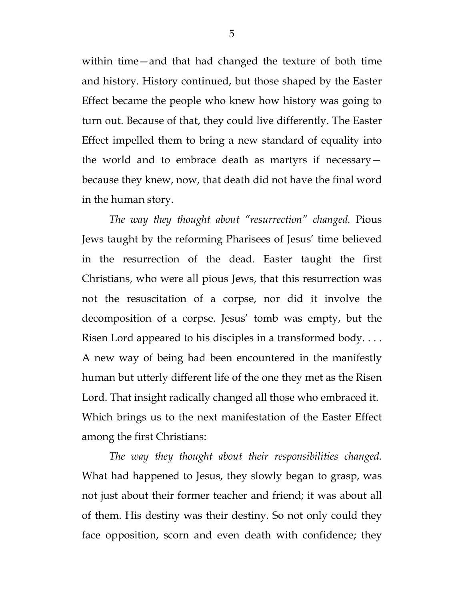within time—and that had changed the texture of both time and history. History continued, but those shaped by the Easter Effect became the people who knew how history was going to turn out. Because of that, they could live differently. The Easter Effect impelled them to bring a new standard of equality into the world and to embrace death as martyrs if necessary because they knew, now, that death did not have the final word in the human story.

*The way they thought about "resurrection" changed.* Pious Jews taught by the reforming Pharisees of Jesus' time believed in the resurrection of the dead. Easter taught the first Christians, who were all pious Jews, that this resurrection was not the resuscitation of a corpse, nor did it involve the decomposition of a corpse. Jesus' tomb was empty, but the Risen Lord appeared to his disciples in a transformed body. . . . A new way of being had been encountered in the manifestly human but utterly different life of the one they met as the Risen Lord. That insight radically changed all those who embraced it. Which brings us to the next manifestation of the Easter Effect among the first Christians:

*The way they thought about their responsibilities changed.* What had happened to Jesus, they slowly began to grasp, was not just about their former teacher and friend; it was about all of them. His destiny was their destiny. So not only could they face opposition, scorn and even death with confidence; they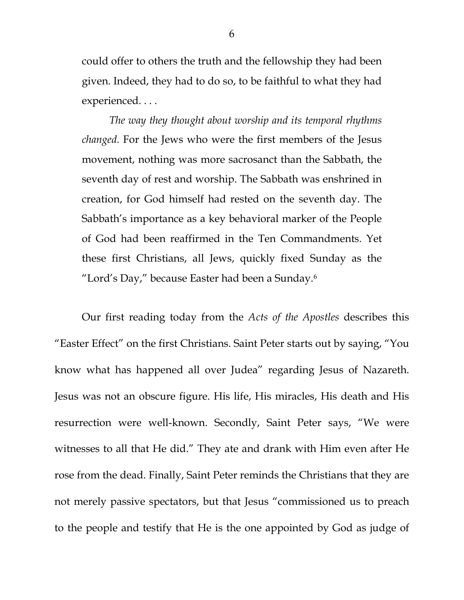could offer to others the truth and the fellowship they had been given. Indeed, they had to do so, to be faithful to what they had experienced. . . .

*The way they thought about worship and its temporal rhythms changed.* For the Jews who were the first members of the Jesus movement, nothing was more sacrosanct than the Sabbath, the seventh day of rest and worship. The Sabbath was enshrined in creation, for God himself had rested on the seventh day. The Sabbath's importance as a key behavioral marker of the People of God had been reaffirmed in the Ten Commandments. Yet these first Christians, all Jews, quickly fixed Sunday as the "Lord's Day," because Easter had been a Sunday.[6](#page-7-5)

Our first reading today from the *Acts of the Apostles* describes this "Easter Effect" on the first Christians. Saint Peter starts out by saying, "You know what has happened all over Judea" regarding Jesus of Nazareth. Jesus was not an obscure figure. His life, His miracles, His death and His resurrection were well-known. Secondly, Saint Peter says, "We were witnesses to all that He did." They ate and drank with Him even after He rose from the dead. Finally, Saint Peter reminds the Christians that they are not merely passive spectators, but that Jesus "commissioned us to preach to the people and testify that He is the one appointed by God as judge of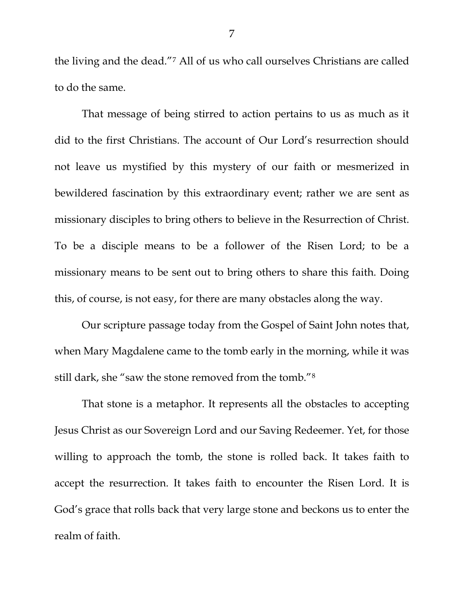the living and the dead."[7](#page-7-6) All of us who call ourselves Christians are called to do the same.

That message of being stirred to action pertains to us as much as it did to the first Christians. The account of Our Lord's resurrection should not leave us mystified by this mystery of our faith or mesmerized in bewildered fascination by this extraordinary event; rather we are sent as missionary disciples to bring others to believe in the Resurrection of Christ. To be a disciple means to be a follower of the Risen Lord; to be a missionary means to be sent out to bring others to share this faith. Doing this, of course, is not easy, for there are many obstacles along the way.

Our scripture passage today from the Gospel of Saint John notes that, when Mary Magdalene came to the tomb early in the morning, while it was still dark, she "saw the stone removed from the tomb."[8](#page-7-7)

That stone is a metaphor. It represents all the obstacles to accepting Jesus Christ as our Sovereign Lord and our Saving Redeemer. Yet, for those willing to approach the tomb, the stone is rolled back. It takes faith to accept the resurrection. It takes faith to encounter the Risen Lord. It is God's grace that rolls back that very large stone and beckons us to enter the realm of faith.